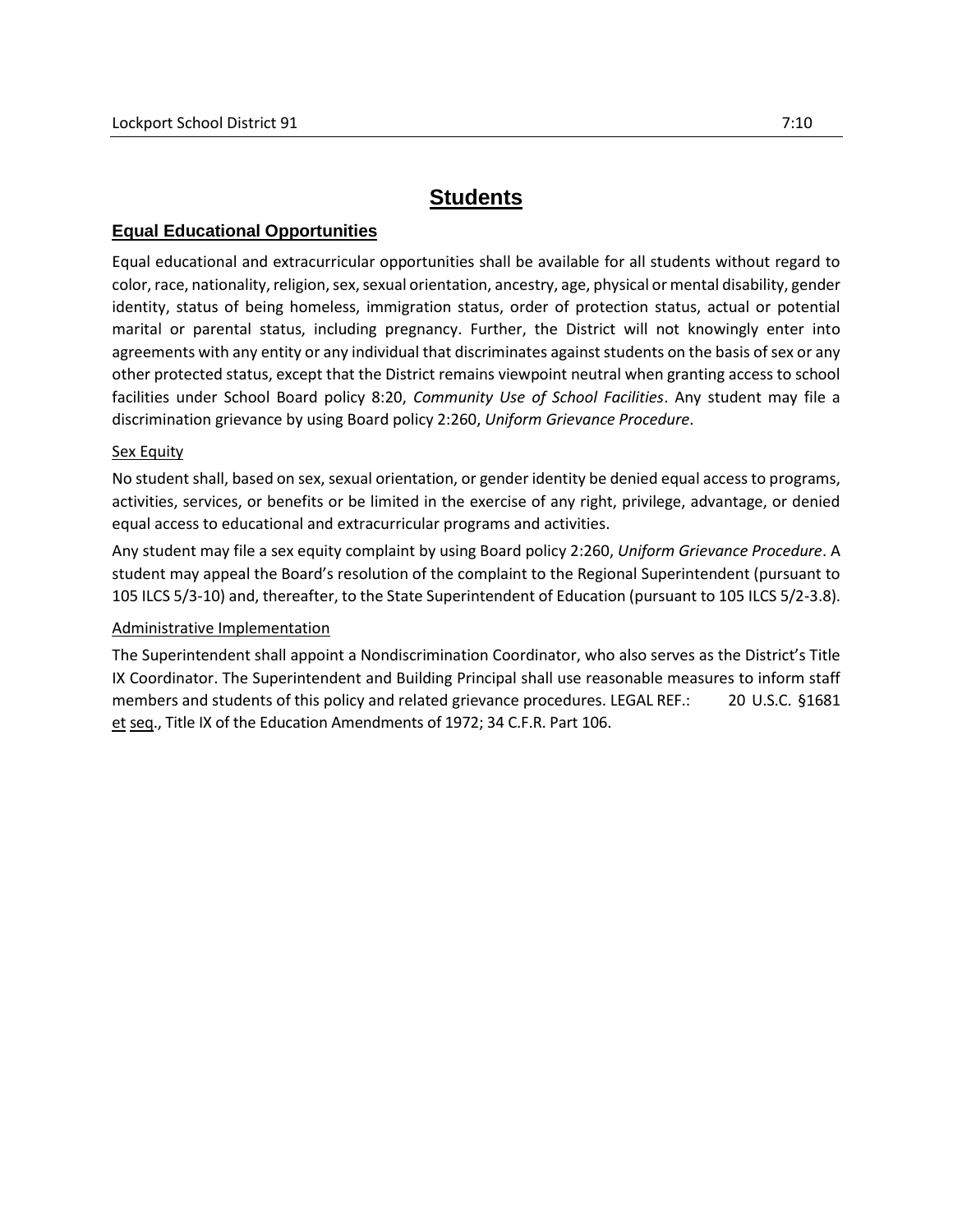## **Students**

## **Equal Educational Opportunities**

Equal educational and extracurricular opportunities shall be available for all students without regard to color, race, nationality, religion, sex, sexual orientation, ancestry, age, physical or mental disability, gender identity, status of being homeless, immigration status, order of protection status, actual or potential marital or parental status, including pregnancy. Further, the District will not knowingly enter into agreements with any entity or any individual that discriminates against students on the basis of sex or any other protected status, except that the District remains viewpoint neutral when granting access to school facilities under School Board policy 8:20, *Community Use of School Facilities*. Any student may file a discrimination grievance by using Board policy 2:260, *Uniform Grievance Procedure*.

## Sex Equity

No student shall, based on sex, sexual orientation, or gender identity be denied equal access to programs, activities, services, or benefits or be limited in the exercise of any right, privilege, advantage, or denied equal access to educational and extracurricular programs and activities.

Any student may file a sex equity complaint by using Board policy 2:260, *Uniform Grievance Procedure*. A student may appeal the Board's resolution of the complaint to the Regional Superintendent (pursuant to 105 ILCS 5/3-10) and, thereafter, to the State Superintendent of Education (pursuant to 105 ILCS 5/2-3.8).

## Administrative Implementation

The Superintendent shall appoint a Nondiscrimination Coordinator, who also serves as the District's Title IX Coordinator. The Superintendent and Building Principal shall use reasonable measures to inform staff members and students of this policy and related grievance procedures. LEGAL REF.: 20 U.S.C. §1681 et seq., Title IX of the Education Amendments of 1972; 34 C.F.R. Part 106.